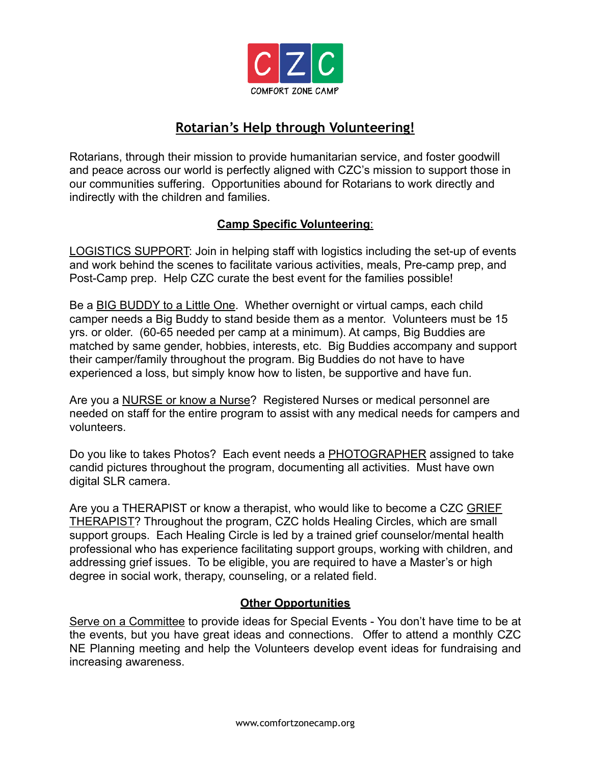

## **Rotarian's Help through Volunteering!**

Rotarians, through their mission to provide humanitarian service, and foster goodwill and peace across our world is perfectly aligned with CZC's mission to support those in our communities suffering. Opportunities abound for Rotarians to work directly and indirectly with the children and families.

## **Camp Specific Volunteering**:

LOGISTICS SUPPORT: Join in helping staff with logistics including the set-up of events and work behind the scenes to facilitate various activities, meals, Pre-camp prep, and Post-Camp prep. Help CZC curate the best event for the families possible!

Be a **BIG BUDDY** to a Little One. Whether overnight or virtual camps, each child camper needs a Big Buddy to stand beside them as a mentor. Volunteers must be 15 yrs. or older. (60-65 needed per camp at a minimum). At camps, Big Buddies are matched by same gender, hobbies, interests, etc. Big Buddies accompany and support their camper/family throughout the program. Big Buddies do not have to have experienced a loss, but simply know how to listen, be supportive and have fun.

Are you a NURSE or know a Nurse? Registered Nurses or medical personnel are needed on staff for the entire program to assist with any medical needs for campers and volunteers.

Do you like to takes Photos? Each event needs a PHOTOGRAPHER assigned to take candid pictures throughout the program, documenting all activities. Must have own digital SLR camera.

Are you a THERAPIST or know a therapist, who would like to become a CZC GRIEF THERAPIST? Throughout the program, CZC holds Healing Circles, which are small support groups. Each Healing Circle is led by a trained grief counselor/mental health professional who has experience facilitating support groups, working with children, and addressing grief issues. To be eligible, you are required to have a Master's or high degree in social work, therapy, counseling, or a related field.

## **Other Opportunities**

Serve on a Committee to provide ideas for Special Events - You don't have time to be at the events, but you have great ideas and connections. Offer to attend a monthly CZC NE Planning meeting and help the Volunteers develop event ideas for fundraising and increasing awareness.